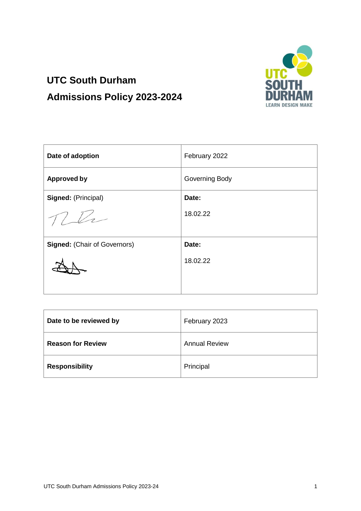

# **UTC South Durham Admissions Policy 2023-2024**

| Date of adoption                    | February 2022  |
|-------------------------------------|----------------|
| <b>Approved by</b>                  | Governing Body |
| Signed: (Principal)                 | Date:          |
|                                     | 18.02.22       |
| <b>Signed: (Chair of Governors)</b> | Date:          |
|                                     | 18.02.22       |

| Date to be reviewed by   | February 2023        |
|--------------------------|----------------------|
| <b>Reason for Review</b> | <b>Annual Review</b> |
| <b>Responsibility</b>    | Principal            |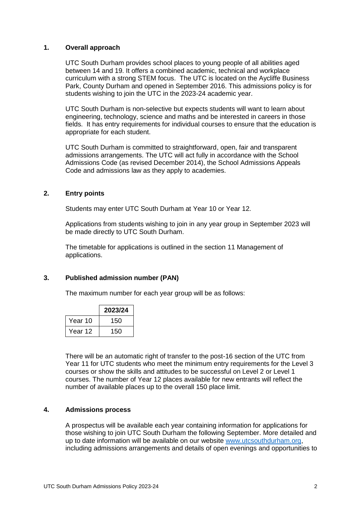# **1. Overall approach**

UTC South Durham provides school places to young people of all abilities aged between 14 and 19. It offers a combined academic, technical and workplace curriculum with a strong STEM focus. The UTC is located on the Aycliffe Business Park, County Durham and opened in September 2016. This admissions policy is for students wishing to join the UTC in the 2023-24 academic year.

UTC South Durham is non-selective but expects students will want to learn about engineering, technology, science and maths and be interested in careers in those fields. It has entry requirements for individual courses to ensure that the education is appropriate for each student.

UTC South Durham is committed to straightforward, open, fair and transparent admissions arrangements. The UTC will act fully in accordance with the School Admissions Code (as revised December 2014), the School Admissions Appeals Code and admissions law as they apply to academies.

## **2. Entry points**

Students may enter UTC South Durham at Year 10 or Year 12.

Applications from students wishing to join in any year group in September 2023 will be made directly to UTC South Durham.

The timetable for applications is outlined in the section 11 Management of applications.

#### **3. Published admission number (PAN)**

The maximum number for each year group will be as follows:

|         | 2023/24 |
|---------|---------|
| Year 10 | 150     |
| Year 12 | 150     |

There will be an automatic right of transfer to the post-16 section of the UTC from Year 11 for UTC students who meet the minimum entry requirements for the Level 3 courses or show the skills and attitudes to be successful on Level 2 or Level 1 courses. The number of Year 12 places available for new entrants will reflect the number of available places up to the overall 150 place limit.

# **4. Admissions process**

A prospectus will be available each year containing information for applications for those wishing to join UTC South Durham the following September. More detailed and up to date information will be available on our website [www.utcsouthdurham.org,](http://www.utcsouthdurham.org/) including admissions arrangements and details of open evenings and opportunities to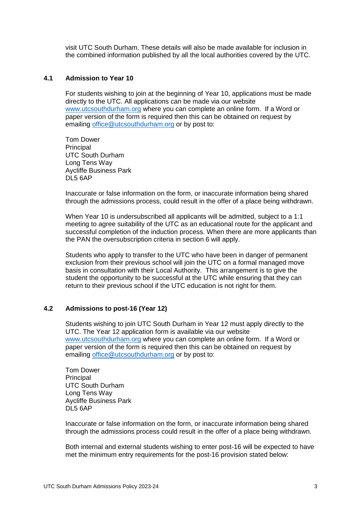visit UTC South Durham. These details will also be made available for inclusion in the combined information published by all the local authorities covered by the UTC.

# **4.1 Admission to Year 10**

For students wishing to join at the beginning of Year 10, applications must be made directly to the UTC. All applications can be made via our website [www.utcsouthdurham.org](http://www.utcsouthdurham.org/) where you can complete an online form. If a Word or paper version of the form is required then this can be obtained on request by emailing [office@utcsouthdurham.org](mailto:office@utcsouthdurham.org) or by post to:

Tom Dower Principal UTC South Durham Long Tens Way Aycliffe Business Park DL5 6AP

Inaccurate or false information on the form, or inaccurate information being shared through the admissions process, could result in the offer of a place being withdrawn.

When Year 10 is undersubscribed all applicants will be admitted, subject to a 1:1 meeting to agree suitability of the UTC as an educational route for the applicant and successful completion of the induction process. When there are more applicants than the PAN the oversubscription criteria in section 6 will apply.

Students who apply to transfer to the UTC who have been in danger of permanent exclusion from their previous school will join the UTC on a formal managed move basis in consultation with their Local Authority. This arrangement is to give the student the opportunity to be successful at the UTC while ensuring that they can return to their previous school if the UTC education is not right for them.

#### **4.2 Admissions to post-16 (Year 12)**

Students wishing to join UTC South Durham in Year 12 must apply directly to the UTC. The Year 12 application form is available via our website [www.utcsouthdurham.org](http://www.utcsouthdurham.org/) where you can complete an online form. If a Word or paper version of the form is required then this can be obtained on request by emailing [office@utcsouthdurham.org](mailto:office@utcsouthdurham.org) or by post to:

Tom Dower **Principal** UTC South Durham Long Tens Way Aycliffe Business Park DL5 6AP

Inaccurate or false information on the form, or inaccurate information being shared through the admissions process could result in the offer of a place being withdrawn.

Both internal and external students wishing to enter post-16 will be expected to have met the minimum entry requirements for the post-16 provision stated below: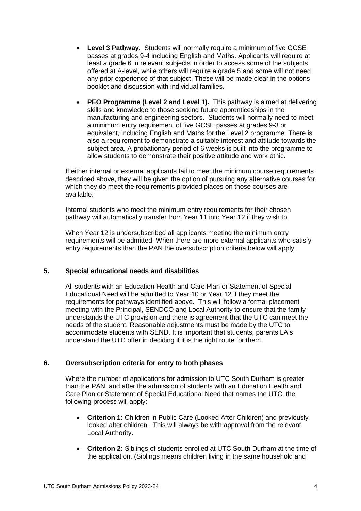- **Level 3 Pathway.** Students will normally require a minimum of five GCSE passes at grades 9-4 including English and Maths. Applicants will require at least a grade 6 in relevant subjects in order to access some of the subjects offered at A-level, while others will require a grade 5 and some will not need any prior experience of that subject. These will be made clear in the options booklet and discussion with individual families.
- **PEO Programme (Level 2 and Level 1).** This pathway is aimed at delivering skills and knowledge to those seeking future apprenticeships in the manufacturing and engineering sectors. Students will normally need to meet a minimum entry requirement of five GCSE passes at grades 9-3 or equivalent, including English and Maths for the Level 2 programme. There is also a requirement to demonstrate a suitable interest and attitude towards the subject area. A probationary period of 6 weeks is built into the programme to allow students to demonstrate their positive attitude and work ethic.

If either internal or external applicants fail to meet the minimum course requirements described above, they will be given the option of pursuing any alternative courses for which they do meet the requirements provided places on those courses are available.

Internal students who meet the minimum entry requirements for their chosen pathway will automatically transfer from Year 11 into Year 12 if they wish to.

When Year 12 is undersubscribed all applicants meeting the minimum entry requirements will be admitted. When there are more external applicants who satisfy entry requirements than the PAN the oversubscription criteria below will apply.

# **5. Special educational needs and disabilities**

All students with an Education Health and Care Plan or Statement of Special Educational Need will be admitted to Year 10 or Year 12 if they meet the requirements for pathways identified above. This will follow a formal placement meeting with the Principal, SENDCO and Local Authority to ensure that the family understands the UTC provision and there is agreement that the UTC can meet the needs of the student. Reasonable adjustments must be made by the UTC to accommodate students with SEND. It is important that students, parents LA's understand the UTC offer in deciding if it is the right route for them.

# **6. Oversubscription criteria for entry to both phases**

Where the number of applications for admission to UTC South Durham is greater than the PAN, and after the admission of students with an Education Health and Care Plan or Statement of Special Educational Need that names the UTC, the following process will apply:

- **Criterion 1:** Children in Public Care (Looked After Children) and previously looked after children. This will always be with approval from the relevant Local Authority.
- **Criterion 2:** Siblings of students enrolled at UTC South Durham at the time of the application. (Siblings means children living in the same household and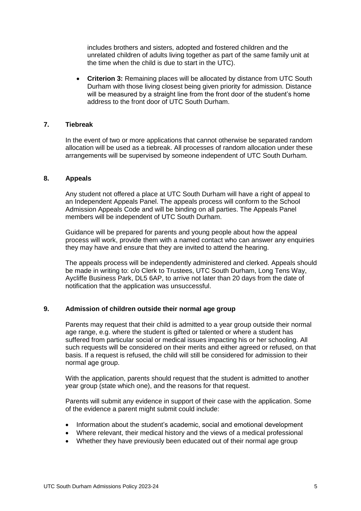includes brothers and sisters, adopted and fostered children and the unrelated children of adults living together as part of the same family unit at the time when the child is due to start in the UTC).

 **Criterion 3:** Remaining places will be allocated by distance from UTC South Durham with those living closest being given priority for admission. Distance will be measured by a straight line from the front door of the student's home address to the front door of UTC South Durham.

# **7. Tiebreak**

In the event of two or more applications that cannot otherwise be separated random allocation will be used as a tiebreak. All processes of random allocation under these arrangements will be supervised by someone independent of UTC South Durham.

## **8. Appeals**

Any student not offered a place at UTC South Durham will have a right of appeal to an Independent Appeals Panel. The appeals process will conform to the School Admission Appeals Code and will be binding on all parties. The Appeals Panel members will be independent of UTC South Durham.

Guidance will be prepared for parents and young people about how the appeal process will work, provide them with a named contact who can answer any enquiries they may have and ensure that they are invited to attend the hearing.

The appeals process will be independently administered and clerked. Appeals should be made in writing to: c/o Clerk to Trustees, UTC South Durham, Long Tens Way, Aycliffe Business Park, DL5 6AP, to arrive not later than 20 days from the date of notification that the application was unsuccessful.

# **9. Admission of children outside their normal age group**

Parents may request that their child is admitted to a year group outside their normal age range, e.g. where the student is gifted or talented or where a student has suffered from particular social or medical issues impacting his or her schooling. All such requests will be considered on their merits and either agreed or refused, on that basis. If a request is refused, the child will still be considered for admission to their normal age group.

With the application, parents should request that the student is admitted to another year group (state which one), and the reasons for that request.

Parents will submit any evidence in support of their case with the application. Some of the evidence a parent might submit could include:

- Information about the student's academic, social and emotional development
- Where relevant, their medical history and the views of a medical professional
- Whether they have previously been educated out of their normal age group